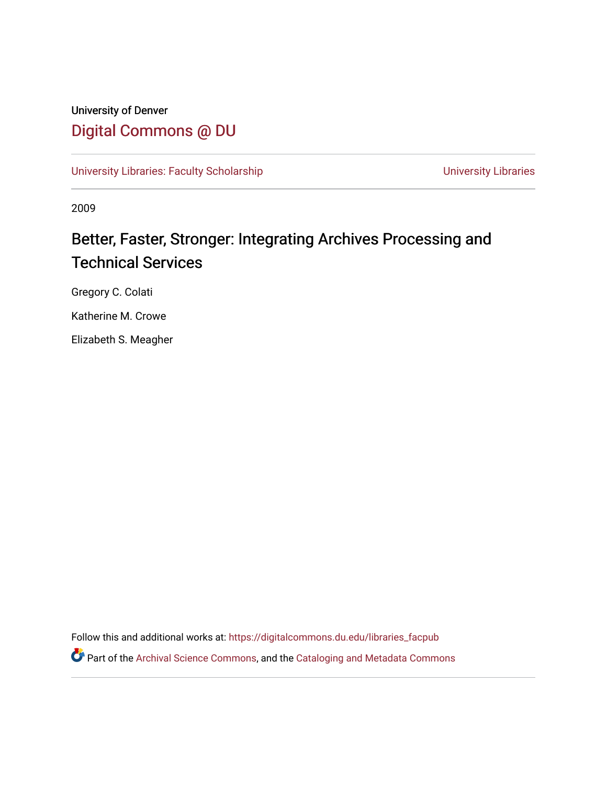# University of Denver [Digital Commons @ DU](https://digitalcommons.du.edu/)

[University Libraries: Faculty Scholarship](https://digitalcommons.du.edu/libraries_facpub) View Communication Christensity Libraries

2009

# Better, Faster, Stronger: Integrating Archives Processing and Technical Services

Gregory C. Colati

Katherine M. Crowe

Elizabeth S. Meagher

Follow this and additional works at: [https://digitalcommons.du.edu/libraries\\_facpub](https://digitalcommons.du.edu/libraries_facpub?utm_source=digitalcommons.du.edu%2Flibraries_facpub%2F83&utm_medium=PDF&utm_campaign=PDFCoverPages)

Part of the [Archival Science Commons,](https://network.bepress.com/hgg/discipline/1021?utm_source=digitalcommons.du.edu%2Flibraries_facpub%2F83&utm_medium=PDF&utm_campaign=PDFCoverPages) and the [Cataloging and Metadata Commons](https://network.bepress.com/hgg/discipline/1270?utm_source=digitalcommons.du.edu%2Flibraries_facpub%2F83&utm_medium=PDF&utm_campaign=PDFCoverPages)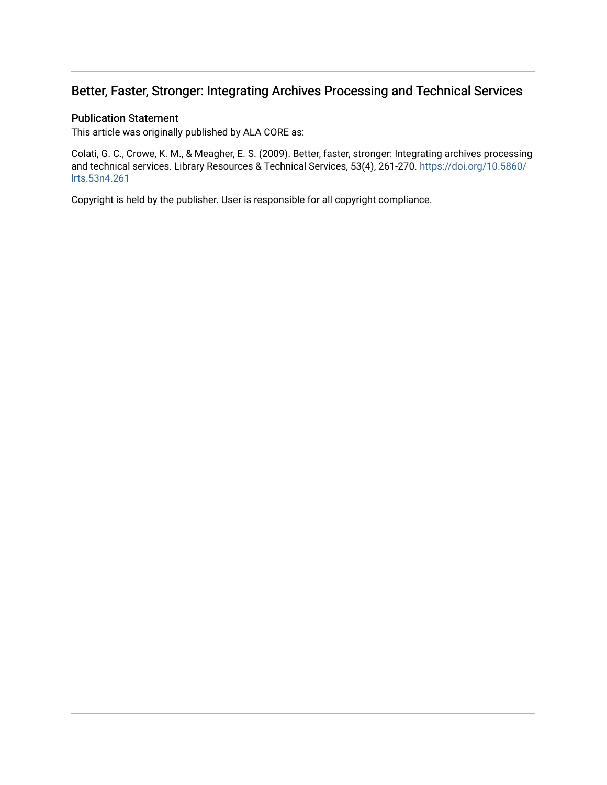## Better, Faster, Stronger: Integrating Archives Processing and Technical Services

### Publication Statement

This article was originally published by ALA CORE as:

Colati, G. C., Crowe, K. M., & Meagher, E. S. (2009). Better, faster, stronger: Integrating archives processing and technical services. Library Resources & Technical Services, 53(4), 261-270. [https://doi.org/10.5860/](https://doi.org/10.5860/lrts.53n4.261) [lrts.53n4.261](https://doi.org/10.5860/lrts.53n4.261) 

Copyright is held by the publisher. User is responsible for all copyright compliance.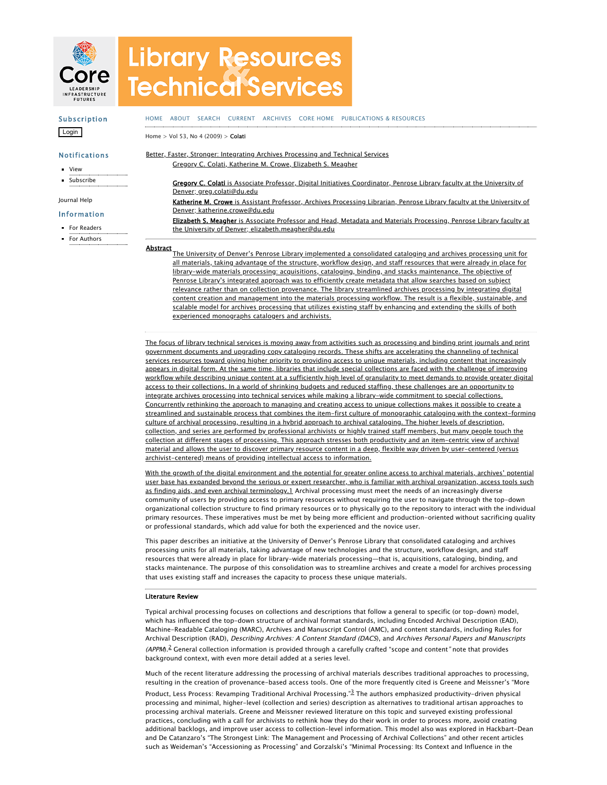

# **Library Resources Technical Services**

#### Subscription Login Notifications **u** [View](https://journals.ala.org/index.php/lrts/notification) [Subscribe](https://journals.ala.org/index.php/lrts/notification/subscribeMailList) [HOME](https://journals.ala.org/index.php/lrts/index) [ABOUT](https://journals.ala.org/index.php/lrts/about) [SEARCH](https://journals.ala.org/index.php/lrts/search) [CURRENT](https://journals.ala.org/index.php/lrts/issue/current) [ARCHIVES](https://journals.ala.org/index.php/lrts/issue/archive) CORE [HOME](http://www.ala.org/core/) [PUBLICATIONS](https://www.ala.org/core/publications) & RESOURCES [Home](https://journals.ala.org/index.php/lrts/index) > Vol 53, No [4 \(2009\)](https://journals.ala.org/index.php/lrts/issue/view/71) > [Colati](https://journals.ala.org/index.php/lrts/article/view/5184/6294) Better, Faster, Stronger: Integrating Archives Processing and Technical Services Gregory C. Colati, Katherine M. Crowe, Elizabeth S. Meagher

[Journal](javascript:openHelp() Help

#### Information

- For [Readers](https://journals.ala.org/index.php/lrts/information/readers)
- For [Authors](https://journals.ala.org/index.php/lrts/information/authors)

Gregory C. Colati is Associate Professor, Digital Initiatives Coordinator, Penrose Library faculty at the University of Denver; greg.colati@du.edu Katherine M. Crowe is Assistant Professor, Archives Processing Librarian, Penrose Library faculty at the University of Denver; katherine.crowe@du.edu Elizabeth S. Meagher is Associate Professor and Head, Metadata and Materials Processing, Penrose Library faculty at the University of Denver; elizabeth.meagher@du.edu

Abstract<br>The University of Denver's Penrose Library implemented a consolidated cataloging and archives processing unit for all materials, taking advantage of the structure, workflow design, and staff resources that were already in place for library-wide materials processing: acquisitions, cataloging, binding, and stacks maintenance. The objective of Penrose Library's integrated approach was to efficiently create metadata that allow searches based on subject relevance rather than on collection provenance. The library streamlined archives processing by integrating digital content creation and management into the materials processing workflow. The result is a flexible, sustainable, and scalable model for archives processing that utilizes existing staff by enhancing and extending the skills of both experienced monographs catalogers and archivists.

The focus of library technical services is moving away from activities such as processing and binding print journals and print government documents and upgrading copy cataloging records. These shifts are accelerating the channeling of technical services resources toward giving higher priority to providing access to unique materials, including content that increasingly appears in digital form. At the same time, libraries that include special collections are faced with the challenge of improving workflow while describing unique content at a sufficiently high level of granularity to meet demands to provide greater digital access to their collections. In a world of shrinking budgets and reduced staffing, these challenges are an opportunity to integrate archives processing into technical services while making a library-wide commitment to special collections. Concurrently rethinking the approach to managing and creating access to unique collections makes it possible to create a streamlined and sustainable process that combines the item-first culture of monographic cataloging with the context-forming culture of archival processing, resulting in a hybrid approach to archival cataloging. The higher levels of description, collection, and series are performed by professional archivists or highly trained staff members, but many people touch the collection at different stages of processing. This approach stresses both productivity and an item-centric view of archival material and allows the user to discover primary resource content in a deep, flexible way driven by user-centered (versus archivist-centered) means of providing intellectual access to information.

With the growth of the digital environment and the potential for greater online access to archival materials, archives' potential user base has expanded beyond the serious or expert researcher, who is familiar with archival organization, access tools such as finding aids, and even archival terminology.[1](#page-7-0) Archival processing must meet the needs of an increasingly diverse community of users by providing access to primary resources without requiring the user to navigate through the top-down organizational collection structure to find primary resources or to physically go to the repository to interact with the individual primary resources. These imperatives must be met by being more efficient and production-oriented without sacrificing quality or professional standards, which add value for both the experienced and the novice user.

This paper describes an initiative at the University of Denver's Penrose Library that consolidated cataloging and archives processing units for all materials, taking advantage of new technologies and the structure, workflow design, and staff resources that were already in place for library-wide materials processing—that is, acquisitions, cataloging, binding, and stacks maintenance. The purpose of this consolidation was to streamline archives and create a model for archives processing that uses existing staff and increases the capacity to process these unique materials.

#### Literature Review

Typical archival processing focuses on collections and descriptions that follow a general to specific (or top-down) model, which has influenced the top-down structure of archival format standards, including Encoded Archival Description (EAD), Machine-Readable Cataloging (MARC), Archives and Manuscript Control (AMC), and content standards, including Rules for Archival Description (RAD), Describing Archives: <sup>A</sup> Content Standard (DACS), and Archives Personal Papers and Manuscripts (APPM).<sup>[2](#page-8-0)</sup> General collection information is provided through a carefully crafted "scope and content" note that provides background context, with even more detail added at a series level.

Much of the recent literature addressing the processing of archival materials describes traditional approaches to processing, resulting in the creation of provenance-based access tools. One of the more frequently cited is Greene and Meissner's "More

Product, Less Process: Revamping Traditional Archival Processing."<sup>[3](#page-8-1)</sup> The authors emphasized productivity-driven physical processing and minimal, higher-level (collection and series) description as alternatives to traditional artisan approaches to processing archival materials. Greene and Meissner reviewed literature on this topic and surveyed existing professional practices, concluding with a call for archivists to rethink how they do their work in order to process more, avoid creating additional backlogs, and improve user access to collection-level information. This model also was explored in Hackbart-Dean and De Catanzaro's "The Strongest Link: The Management and Processing of Archival Collections" and other recent articles such as Weideman's "Accessioning as Processing" and Gorzalski's "Minimal Processing: Its Context and Influence in the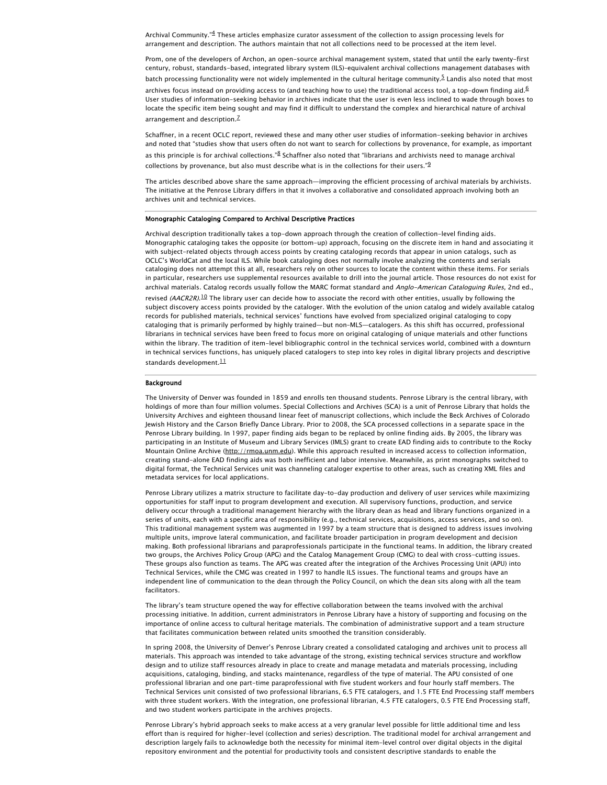Archival Community."<sup>[4](#page-8-2)</sup> These articles emphasize curator assessment of the collection to assign processing levels for arrangement and description. The authors maintain that not all collections need to be processed at the item level.

Prom, one of the developers of Archon, an open-source archival management system, stated that until the early twenty-first century, robust, standards-based, integrated library system (ILS)–equivalent archival collections management databases with batch processing functionality were not widely implemented in the cultural heritage community. E Landis also noted that most

archives focus instead on providing access to (and teaching how to use) the traditional access tool, a top-down finding aid.<sup>[6](#page-8-4)</sup> User studies of information-seeking behavior in archives indicate that the user is even less inclined to wade through boxes to locate the specific item being sought and may find it difficult to understand the complex and hierarchical nature of archival arrangement and description.<sup>[7](#page-8-5)</sup>

Schaffner, in a recent OCLC report, reviewed these and many other user studies of information-seeking behavior in archives and noted that "studies show that users often do not want to search for collections by provenance, for example, as important as this principle is for archival collections."<sup>[8](#page-8-6)</sup> Schaffner also noted that "librarians and archivists need to manage archival collections by provenance, but also must describe what is in the collections for their users." $9$ 

The articles described above share the same approach—improving the efficient processing of archival materials by archivists. The initiative at the Penrose Library differs in that it involves a collaborative and consolidated approach involving both an archives unit and technical services.

#### Monographic Cataloging Compared to Archival Descriptive Practices

Archival description traditionally takes a top-down approach through the creation of collection-level finding aids. Monographic cataloging takes the opposite (or bottom-up) approach, focusing on the discrete item in hand and associating it with subject-related objects through access points by creating cataloging records that appear in union catalogs, such as OCLC's WorldCat and the local ILS. While book cataloging does not normally involve analyzing the contents and serials cataloging does not attempt this at all, researchers rely on other sources to locate the content within these items. For serials in particular, researchers use supplemental resources available to drill into the journal article. Those resources do not exist for archival materials. Catalog records usually follow the MARC format standard and Anglo-American Cataloguing Rules, 2nd ed.,

revised (AACR2R).<sup>[10](#page-8-8)</sup> The library user can decide how to associate the record with other entities, usually by following the subject discovery access points provided by the cataloger. With the evolution of the union catalog and widely available catalog records for published materials, technical services' functions have evolved from specialized original cataloging to copy cataloging that is primarily performed by highly trained—but non–MLS—catalogers. As this shift has occurred, professional librarians in technical services have been freed to focus more on original cataloging of unique materials and other functions within the library. The tradition of item-level bibliographic control in the technical services world, combined with a downturn in technical services functions, has uniquely placed catalogers to step into key roles in digital library projects and descriptive standards development. $\frac{11}{11}$  $\frac{11}{11}$  $\frac{11}{11}$ 

#### Background

The University of Denver was founded in 1859 and enrolls ten thousand students. Penrose Library is the central library, with holdings of more than four million volumes. Special Collections and Archives (SCA) is a unit of Penrose Library that holds the University Archives and eighteen thousand linear feet of manuscript collections, which include the Beck Archives of Colorado Jewish History and the Carson Briefly Dance Library. Prior to 2008, the SCA processed collections in a separate space in the Penrose Library building. In 1997, paper finding aids began to be replaced by online finding aids. By 2005, the library was participating in an Institute of Museum and Library Services (IMLS) grant to create EAD finding aids to contribute to the Rocky Mountain Online Archive [\(http://rmoa.unm.edu](http://rmoa.unm.edu/)). While this approach resulted in increased access to collection information, creating stand-alone EAD finding aids was both inefficient and labor intensive. Meanwhile, as print monographs switched to digital format, the Technical Services unit was channeling cataloger expertise to other areas, such as creating XML files and metadata services for local applications.

Penrose Library utilizes a matrix structure to facilitate day-to-day production and delivery of user services while maximizing opportunities for staff input to program development and execution. All supervisory functions, production, and service delivery occur through a traditional management hierarchy with the library dean as head and library functions organized in a series of units, each with a specific area of responsibility (e.g., technical services, acquisitions, access services, and so on). This traditional management system was augmented in 1997 by a team structure that is designed to address issues involving multiple units, improve lateral communication, and facilitate broader participation in program development and decision making. Both professional librarians and paraprofessionals participate in the functional teams. In addition, the library created two groups, the Archives Policy Group (APG) and the Catalog Management Group (CMG) to deal with cross-cutting issues. These groups also function as teams. The APG was created after the integration of the Archives Processing Unit (APU) into Technical Services, while the CMG was created in 1997 to handle ILS issues. The functional teams and groups have an independent line of communication to the dean through the Policy Council, on which the dean sits along with all the team facilitators.

The library's team structure opened the way for effective collaboration between the teams involved with the archival processing initiative. In addition, current administrators in Penrose Library have a history of supporting and focusing on the importance of online access to cultural heritage materials. The combination of administrative support and a team structure that facilitates communication between related units smoothed the transition considerably.

In spring 2008, the University of Denver's Penrose Library created a consolidated cataloging and archives unit to process all materials. This approach was intended to take advantage of the strong, existing technical services structure and workflow design and to utilize staff resources already in place to create and manage metadata and materials processing, including acquisitions, cataloging, binding, and stacks maintenance, regardless of the type of material. The APU consisted of one professional librarian and one part-time paraprofessional with five student workers and four hourly staff members. The Technical Services unit consisted of two professional librarians, 6.5 FTE catalogers, and 1.5 FTE End Processing staff members with three student workers. With the integration, one professional librarian, 4.5 FTE catalogers, 0.5 FTE End Processing staff, and two student workers participate in the archives projects.

Penrose Library's hybrid approach seeks to make access at a very granular level possible for little additional time and less effort than is required for higher-level (collection and series) description. The traditional model for archival arrangement and description largely fails to acknowledge both the necessity for minimal item-level control over digital objects in the digital repository environment and the potential for productivity tools and consistent descriptive standards to enable the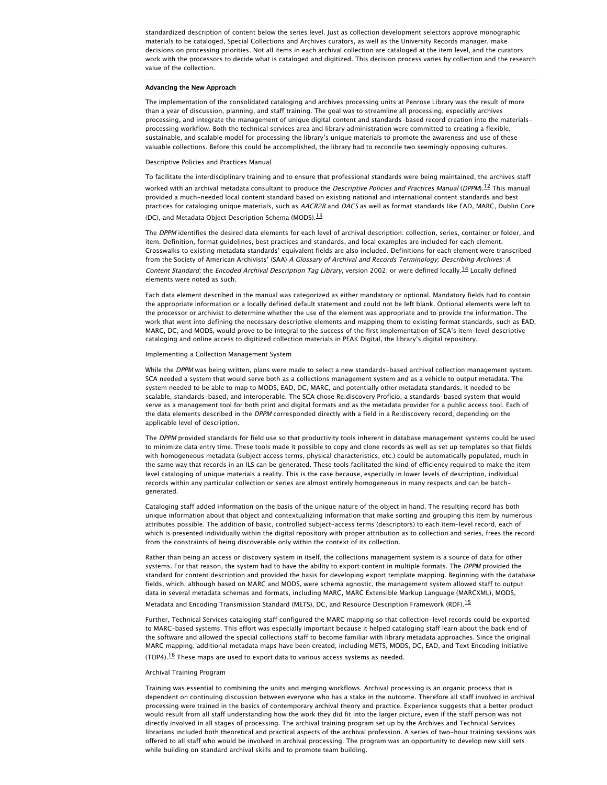standardized description of content below the series level. Just as collection development selectors approve monographic materials to be cataloged, Special Collections and Archives curators, as well as the University Records manager, make decisions on processing priorities. Not all items in each archival collection are cataloged at the item level, and the curators work with the processors to decide what is cataloged and digitized. This decision process varies by collection and the research value of the collection.

#### Advancing the New Approach

The implementation of the consolidated cataloging and archives processing units at Penrose Library was the result of more than a year of discussion, planning, and staff training. The goal was to streamline all processing, especially archives processing, and integrate the management of unique digital content and standards-based record creation into the materialsprocessing workflow. Both the technical services area and library administration were committed to creating a flexible, sustainable, and scalable model for processing the library's unique materials to promote the awareness and use of these valuable collections. Before this could be accomplished, the library had to reconcile two seemingly opposing cultures.

#### Descriptive Policies and Practices Manual

To facilitate the interdisciplinary training and to ensure that professional standards were being maintained, the archives staff worked with an archival metadata consultant to produce the *Descriptive Policies and Practices Manual* (DPPM).<sup>[12](#page-8-10)</sup> This manual provided a much-needed local content standard based on existing national and international content standards and best practices for cataloging unique materials, such as AACR2R and DACS as well as format standards like EAD, MARC, Dublin Core (DC), and Metadata Object Description Schema (MODS).<sup>[13](#page-8-11)</sup>

The DPPM identifies the desired data elements for each level of archival description: collection, series, container or folder, and item. Definition, format guidelines, best practices and standards, and local examples are included for each element. Crosswalks to existing metadata standards' equivalent fields are also included. Definitions for each element were transcribed from the Society of American Archivists' (SAA) A Glossary of Archival and Records Terminology; Describing Archives: A

Content Standard; the Encoded Archival Description Tag Library, version 2002; or were defined locally.<sup>[14](#page-8-12)</sup> Locally defined elements were noted as such.

Each data element described in the manual was categorized as either mandatory or optional. Mandatory fields had to contain the appropriate information or a locally defined default statement and could not be left blank. Optional elements were left to the processor or archivist to determine whether the use of the element was appropriate and to provide the information. The work that went into defining the necessary descriptive elements and mapping them to existing format standards, such as EAD, MARC, DC, and MODS, would prove to be integral to the success of the first implementation of SCA's item-level descriptive cataloging and online access to digitized collection materials in PEAK Digital, the library's digital repository.

#### Implementing a Collection Management System

While the DPPM was being written, plans were made to select a new standards-based archival collection management system. SCA needed a system that would serve both as a collections management system and as a vehicle to output metadata. The system needed to be able to map to MODS, EAD, DC, MARC, and potentially other metadata standards. It needed to be scalable, standards-based, and interoperable. The SCA chose Re:discovery Proficio, a standards-based system that would serve as a management tool for both print and digital formats and as the metadata provider for a public access tool. Each of the data elements described in the DPPM corresponded directly with a field in a Re:discovery record, depending on the applicable level of description.

The DPPM provided standards for field use so that productivity tools inherent in database management systems could be used to minimize data entry time. These tools made it possible to copy and clone records as well as set up templates so that fields with homogeneous metadata (subject access terms, physical characteristics, etc.) could be automatically populated, much in the same way that records in an ILS can be generated. These tools facilitated the kind of efficiency required to make the itemlevel cataloging of unique materials a reality. This is the case because, especially in lower levels of description, individual records within any particular collection or series are almost entirely homogeneous in many respects and can be batchgenerated.

Cataloging staff added information on the basis of the unique nature of the object in hand. The resulting record has both unique information about that object and contextualizing information that make sorting and grouping this item by numerous attributes possible. The addition of basic, controlled subject-access terms (descriptors) to each item-level record, each of which is presented individually within the digital repository with proper attribution as to collection and series, frees the record from the constraints of being discoverable only within the context of its collection.

Rather than being an access or discovery system in itself, the collections management system is a source of data for other systems. For that reason, the system had to have the ability to export content in multiple formats. The DPPM provided the standard for content description and provided the basis for developing export template mapping. Beginning with the database fields, which, although based on MARC and MODS, were schema agnostic, the management system allowed staff to output data in several metadata schemas and formats, including MARC, MARC Extensible Markup Language (MARCXML), MODS, Metadata and Encoding Transmission Standard (METS), DC, and Resource Description Framework (RDF).[15](#page-8-13)

Further, Technical Services cataloging staff configured the MARC mapping so that collection-level records could be exported to MARC–based systems. This effort was especially important because it helped cataloging staff learn about the back end of the software and allowed the special collections staff to become familiar with library metadata approaches. Since the original MARC mapping, additional metadata maps have been created, including METS, MODS, DC, EAD, and Text Encoding Initiative (TEIP4). $16$  These maps are used to export data to various access systems as needed.

#### Archival Training Program

Training was essential to combining the units and merging workflows. Archival processing is an organic process that is dependent on continuing discussion between everyone who has a stake in the outcome. Therefore all staff involved in archival processing were trained in the basics of contemporary archival theory and practice. Experience suggests that a better product would result from all staff understanding how the work they did fit into the larger picture, even if the staff person was not directly involved in all stages of processing. The archival training program set up by the Archives and Technical Services librarians included both theoretical and practical aspects of the archival profession. A series of two-hour training sessions was offered to all staff who would be involved in archival processing. The program was an opportunity to develop new skill sets while building on standard archival skills and to promote team building.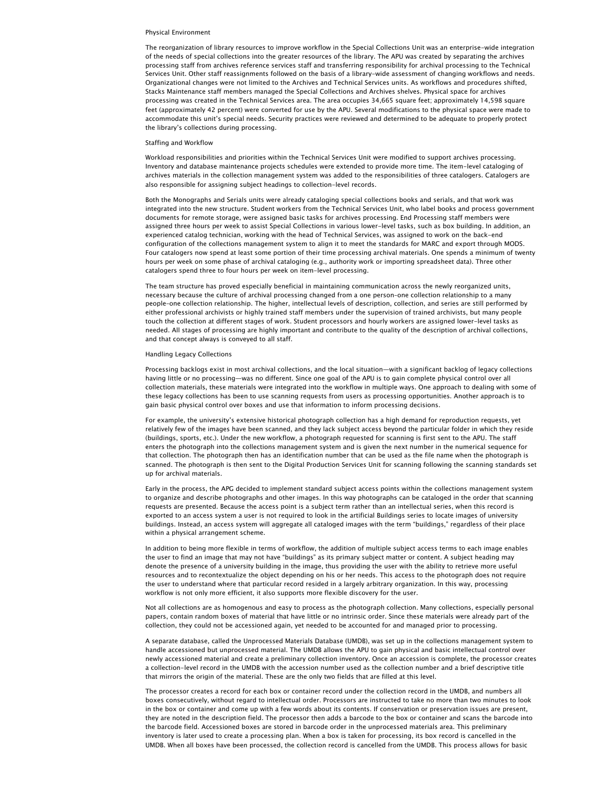#### Physical Environment

The reorganization of library resources to improve workflow in the Special Collections Unit was an enterprise-wide integration of the needs of special collections into the greater resources of the library. The APU was created by separating the archives processing staff from archives reference services staff and transferring responsibility for archival processing to the Technical Services Unit. Other staff reassignments followed on the basis of a library-wide assessment of changing workflows and needs. Organizational changes were not limited to the Archives and Technical Services units. As workflows and procedures shifted, Stacks Maintenance staff members managed the Special Collections and Archives shelves. Physical space for archives processing was created in the Technical Services area. The area occupies 34,665 square feet; approximately 14,598 square feet (approximately 42 percent) were converted for use by the APU. Several modifications to the physical space were made to accommodate this unit's special needs. Security practices were reviewed and determined to be adequate to properly protect the library's collections during processing.

#### Staffing and Workflow

Workload responsibilities and priorities within the Technical Services Unit were modified to support archives processing. Inventory and database maintenance projects schedules were extended to provide more time. The item-level cataloging of archives materials in the collection management system was added to the responsibilities of three catalogers. Catalogers are also responsible for assigning subject headings to collection-level records.

Both the Monographs and Serials units were already cataloging special collections books and serials, and that work was integrated into the new structure. Student workers from the Technical Services Unit, who label books and process government documents for remote storage, were assigned basic tasks for archives processing. End Processing staff members were assigned three hours per week to assist Special Collections in various lower-level tasks, such as box building. In addition, an experienced catalog technician, working with the head of Technical Services, was assigned to work on the back-end configuration of the collections management system to align it to meet the standards for MARC and export through MODS. Four catalogers now spend at least some portion of their time processing archival materials. One spends a minimum of twenty hours per week on some phase of archival cataloging (e.g., authority work or importing spreadsheet data). Three other catalogers spend three to four hours per week on item-level processing.

The team structure has proved especially beneficial in maintaining communication across the newly reorganized units, necessary because the culture of archival processing changed from a one person–one collection relationship to a many people–one collection relationship. The higher, intellectual levels of description, collection, and series are still performed by either professional archivists or highly trained staff members under the supervision of trained archivists, but many people touch the collection at different stages of work. Student processors and hourly workers are assigned lower-level tasks as needed. All stages of processing are highly important and contribute to the quality of the description of archival collections, and that concept always is conveyed to all staff.

#### Handling Legacy Collections

Processing backlogs exist in most archival collections, and the local situation—with a significant backlog of legacy collections having little or no processing—was no different. Since one goal of the APU is to gain complete physical control over all collection materials, these materials were integrated into the workflow in multiple ways. One approach to dealing with some of these legacy collections has been to use scanning requests from users as processing opportunities. Another approach is to gain basic physical control over boxes and use that information to inform processing decisions.

For example, the university's extensive historical photograph collection has a high demand for reproduction requests, yet relatively few of the images have been scanned, and they lack subject access beyond the particular folder in which they reside (buildings, sports, etc.). Under the new workflow, a photograph requested for scanning is first sent to the APU. The staff enters the photograph into the collections management system and is given the next number in the numerical sequence for that collection. The photograph then has an identification number that can be used as the file name when the photograph is scanned. The photograph is then sent to the Digital Production Services Unit for scanning following the scanning standards set up for archival materials.

Early in the process, the APG decided to implement standard subject access points within the collections management system to organize and describe photographs and other images. In this way photographs can be cataloged in the order that scanning requests are presented. Because the access point is a subject term rather than an intellectual series, when this record is exported to an access system a user is not required to look in the artificial Buildings series to locate images of university buildings. Instead, an access system will aggregate all cataloged images with the term "buildings," regardless of their place within a physical arrangement scheme.

In addition to being more flexible in terms of workflow, the addition of multiple subject access terms to each image enables the user to find an image that may not have "buildings" as its primary subject matter or content. A subject heading may denote the presence of a university building in the image, thus providing the user with the ability to retrieve more useful resources and to recontextualize the object depending on his or her needs. This access to the photograph does not require the user to understand where that particular record resided in a largely arbitrary organization. In this way, processing workflow is not only more efficient, it also supports more flexible discovery for the user.

Not all collections are as homogenous and easy to process as the photograph collection. Many collections, especially personal papers, contain random boxes of material that have little or no intrinsic order. Since these materials were already part of the collection, they could not be accessioned again, yet needed to be accounted for and managed prior to processing.

A separate database, called the Unprocessed Materials Database (UMDB), was set up in the collections management system to handle accessioned but unprocessed material. The UMDB allows the APU to gain physical and basic intellectual control over newly accessioned material and create a preliminary collection inventory. Once an accession is complete, the processor creates a collection-level record in the UMDB with the accession number used as the collection number and a brief descriptive title that mirrors the origin of the material. These are the only two fields that are filled at this level.

The processor creates a record for each box or container record under the collection record in the UMDB, and numbers all boxes consecutively, without regard to intellectual order. Processors are instructed to take no more than two minutes to look in the box or container and come up with a few words about its contents. If conservation or preservation issues are present, they are noted in the description field. The processor then adds a barcode to the box or container and scans the barcode into the barcode field. Accessioned boxes are stored in barcode order in the unprocessed materials area. This preliminary inventory is later used to create a processing plan. When a box is taken for processing, its box record is cancelled in the UMDB. When all boxes have been processed, the collection record is cancelled from the UMDB. This process allows for basic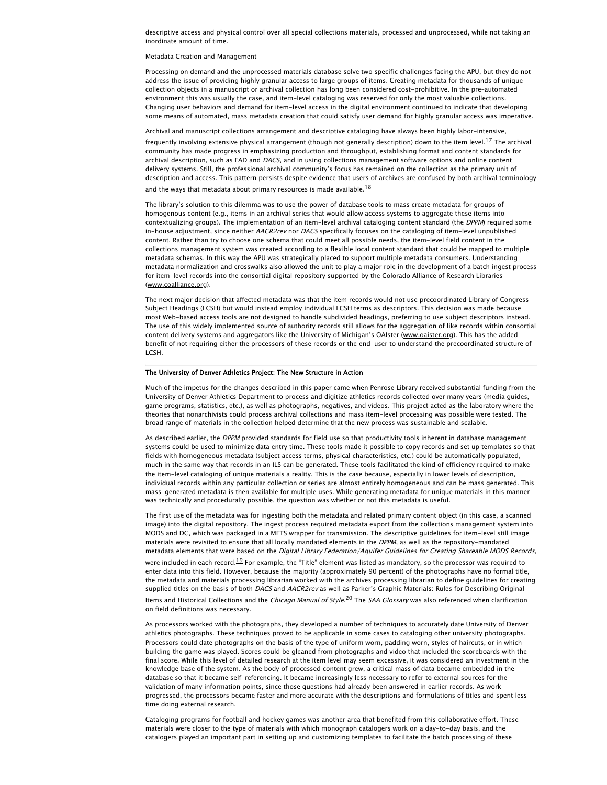descriptive access and physical control over all special collections materials, processed and unprocessed, while not taking an inordinate amount of time.

#### Metadata Creation and Management

Processing on demand and the unprocessed materials database solve two specific challenges facing the APU, but they do not address the issue of providing highly granular access to large groups of items. Creating metadata for thousands of unique collection objects in a manuscript or archival collection has long been considered cost-prohibitive. In the pre–automated environment this was usually the case, and item-level cataloging was reserved for only the most valuable collections. Changing user behaviors and demand for item-level access in the digital environment continued to indicate that developing some means of automated, mass metadata creation that could satisfy user demand for highly granular access was imperative.

Archival and manuscript collections arrangement and descriptive cataloging have always been highly labor-intensive, frequently involving extensive physical arrangement (though not generally description) down to the item level.<sup>[17](#page-8-15)</sup> The archival community has made progress in emphasizing production and throughput, establishing format and content standards for archival description, such as EAD and DACS, and in using collections management software options and online content delivery systems. Still, the professional archival community's focus has remained on the collection as the primary unit of description and access. This pattern persists despite evidence that users of archives are confused by both archival terminology and the ways that metadata about primary resources is made available. $^{18}$  $^{18}$  $^{18}$ 

The library's solution to this dilemma was to use the power of database tools to mass create metadata for groups of homogenous content (e.g., items in an archival series that would allow access systems to aggregate these items into contextualizing groups). The implementation of an item-level archival cataloging content standard (the DPPM) required some in-house adjustment, since neither AACR2rev nor DACS specifically focuses on the cataloging of item-level unpublished content. Rather than try to choose one schema that could meet all possible needs, the item-level field content in the collections management system was created according to a flexible local content standard that could be mapped to multiple metadata schemas. In this way the APU was strategically placed to support multiple metadata consumers. Understanding metadata normalization and crosswalks also allowed the unit to play a major role in the development of a batch ingest process for item-level records into the consortial digital repository supported by the Colorado Alliance of Research Libraries ([www.coalliance.org\)](http://www.coalliance.org/).

The next major decision that affected metadata was that the item records would not use precoordinated Library of Congress Subject Headings (LCSH) but would instead employ individual LCSH terms as descriptors. This decision was made because most Web-based access tools are not designed to handle subdivided headings, preferring to use subject descriptors instead. The use of this widely implemented source of authority records still allows for the aggregation of like records within consortial content delivery systems and aggregators like the University of Michigan's OAIster ([www.oaister.org\)](http://www.oaister.org/). This has the added benefit of not requiring either the processors of these records or the end-user to understand the precoordinated structure of LCSH.

#### The University of Denver Athletics Project: The New Structure in Action

Much of the impetus for the changes described in this paper came when Penrose Library received substantial funding from the University of Denver Athletics Department to process and digitize athletics records collected over many years (media guides, game programs, statistics, etc.), as well as photographs, negatives, and videos. This project acted as the laboratory where the theories that nonarchivists could process archival collections and mass item-level processing was possible were tested. The broad range of materials in the collection helped determine that the new process was sustainable and scalable.

As described earlier, the DPPM provided standards for field use so that productivity tools inherent in database management systems could be used to minimize data entry time. These tools made it possible to copy records and set up templates so that fields with homogeneous metadata (subject access terms, physical characteristics, etc.) could be automatically populated, much in the same way that records in an ILS can be generated. These tools facilitated the kind of efficiency required to make the item-level cataloging of unique materials a reality. This is the case because, especially in lower levels of description, individual records within any particular collection or series are almost entirely homogeneous and can be mass generated. This mass-generated metadata is then available for multiple uses. While generating metadata for unique materials in this manner was technically and procedurally possible, the question was whether or not this metadata is useful.

The first use of the metadata was for ingesting both the metadata and related primary content object (in this case, a scanned image) into the digital repository. The ingest process required metadata export from the collections management system into MODS and DC, which was packaged in a METS wrapper for transmission. The descriptive guidelines for item-level still image materials were revisited to ensure that all locally mandated elements in the DPPM, as well as the repository-mandated metadata elements that were based on the Digital Library Federation/Aquifer Guidelines for Creating Shareable MODS Records, were included in each record.<sup>[19](#page-8-17)</sup> For example, the "Title" element was listed as mandatory, so the processor was required to enter data into this field. However, because the majority (approximately 90 percent) of the photographs have no formal title, the metadata and materials processing librarian worked with the archives processing librarian to define guidelines for creating supplied titles on the basis of both DACS and AACR2rev as well as Parker's Graphic Materials: Rules for Describing Original

Items and Historical Collections and the Chicago Manual of Style.<sup>[20](#page-8-18)</sup> The SAA Glossary was also referenced when clarification on field definitions was necessary.

As processors worked with the photographs, they developed a number of techniques to accurately date University of Denver athletics photographs. These techniques proved to be applicable in some cases to cataloging other university photographs. Processors could date photographs on the basis of the type of uniform worn, padding worn, styles of haircuts, or in which building the game was played. Scores could be gleaned from photographs and video that included the scoreboards with the final score. While this level of detailed research at the item level may seem excessive, it was considered an investment in the knowledge base of the system. As the body of processed content grew, a critical mass of data became embedded in the database so that it became self-referencing. It became increasingly less necessary to refer to external sources for the validation of many information points, since those questions had already been answered in earlier records. As work progressed, the processors became faster and more accurate with the descriptions and formulations of titles and spent less time doing external research.

Cataloging programs for football and hockey games was another area that benefited from this collaborative effort. These materials were closer to the type of materials with which monograph catalogers work on a day-to-day basis, and the catalogers played an important part in setting up and customizing templates to facilitate the batch processing of these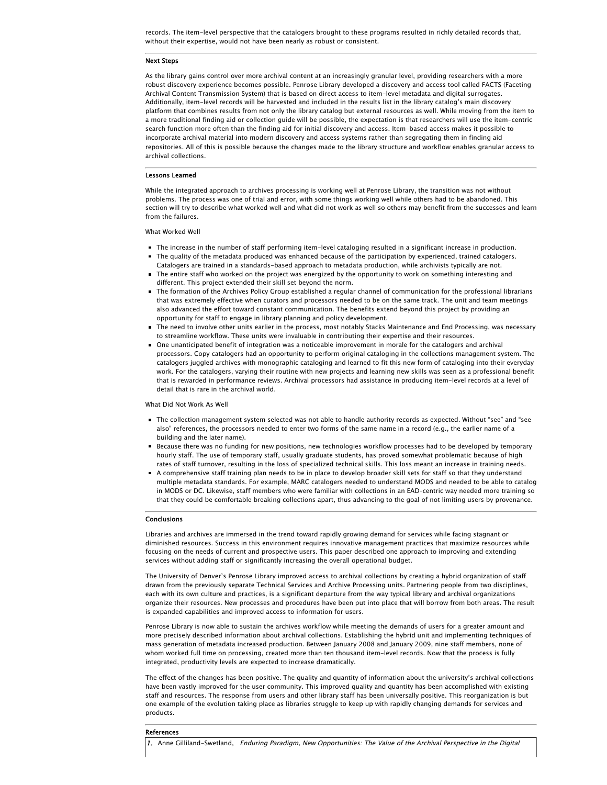records. The item-level perspective that the catalogers brought to these programs resulted in richly detailed records that, without their expertise, would not have been nearly as robust or consistent.

#### Next Steps

As the library gains control over more archival content at an increasingly granular level, providing researchers with a more robust discovery experience becomes possible. Penrose Library developed a discovery and access tool called FACTS (Faceting Archival Content Transmission System) that is based on direct access to item-level metadata and digital surrogates. Additionally, item-level records will be harvested and included in the results list in the library catalog's main discovery platform that combines results from not only the library catalog but external resources as well. While moving from the item to a more traditional finding aid or collection guide will be possible, the expectation is that researchers will use the item-centric search function more often than the finding aid for initial discovery and access. Item-based access makes it possible to incorporate archival material into modern discovery and access systems rather than segregating them in finding aid repositories. All of this is possible because the changes made to the library structure and workflow enables granular access to archival collections.

#### Lessons Learned

While the integrated approach to archives processing is working well at Penrose Library, the transition was not without problems. The process was one of trial and error, with some things working well while others had to be abandoned. This section will try to describe what worked well and what did not work as well so others may benefit from the successes and learn from the failures.

What Worked Well

- The increase in the number of staff performing item-level cataloging resulted in a significant increase in production. The quality of the metadata produced was enhanced because of the participation by experienced, trained catalogers.
- Catalogers are trained in a standards-based approach to metadata production, while archivists typically are not. ■ The entire staff who worked on the project was energized by the opportunity to work on something interesting and
- different. This project extended their skill set beyond the norm. The formation of the Archives Policy Group established a regular channel of communication for the professional librarians that was extremely effective when curators and processors needed to be on the same track. The unit and team meetings also advanced the effort toward constant communication. The benefits extend beyond this project by providing an opportunity for staff to engage in library planning and policy development.
- The need to involve other units earlier in the process, most notably Stacks Maintenance and End Processing, was necessary to streamline workflow. These units were invaluable in contributing their expertise and their resources.
- One unanticipated benefit of integration was a noticeable improvement in morale for the catalogers and archival processors. Copy catalogers had an opportunity to perform original cataloging in the collections management system. The catalogers juggled archives with monographic cataloging and learned to fit this new form of cataloging into their everyday work. For the catalogers, varying their routine with new projects and learning new skills was seen as a professional benefit that is rewarded in performance reviews. Archival processors had assistance in producing item-level records at a level of detail that is rare in the archival world.

#### What Did Not Work As Well

- The collection management system selected was not able to handle authority records as expected. Without "see" and "see also" references, the processors needed to enter two forms of the same name in a record (e.g., the earlier name of a building and the later name).
- Because there was no funding for new positions, new technologies workflow processes had to be developed by temporary hourly staff. The use of temporary staff, usually graduate students, has proved somewhat problematic because of high rates of staff turnover, resulting in the loss of specialized technical skills. This loss meant an increase in training needs.
- A comprehensive staff training plan needs to be in place to develop broader skill sets for staff so that they understand multiple metadata standards. For example, MARC catalogers needed to understand MODS and needed to be able to catalog in MODS or DC. Likewise, staff members who were familiar with collections in an EAD–centric way needed more training so that they could be comfortable breaking collections apart, thus advancing to the goal of not limiting users by provenance.

#### Conclusions

Libraries and archives are immersed in the trend toward rapidly growing demand for services while facing stagnant or diminished resources. Success in this environment requires innovative management practices that maximize resources while focusing on the needs of current and prospective users. This paper described one approach to improving and extending services without adding staff or significantly increasing the overall operational budget.

The University of Denver's Penrose Library improved access to archival collections by creating a hybrid organization of staff drawn from the previously separate Technical Services and Archive Processing units. Partnering people from two disciplines, each with its own culture and practices, is a significant departure from the way typical library and archival organizations organize their resources. New processes and procedures have been put into place that will borrow from both areas. The result is expanded capabilities and improved access to information for users.

Penrose Library is now able to sustain the archives workflow while meeting the demands of users for a greater amount and more precisely described information about archival collections. Establishing the hybrid unit and implementing techniques of mass generation of metadata increased production. Between January 2008 and January 2009, nine staff members, none of whom worked full time on processing, created more than ten thousand item-level records. Now that the process is fully integrated, productivity levels are expected to increase dramatically.

The effect of the changes has been positive. The quality and quantity of information about the university's archival collections have been vastly improved for the user community. This improved quality and quantity has been accomplished with existing staff and resources. The response from users and other library staff has been universally positive. This reorganization is but one example of the evolution taking place as libraries struggle to keep up with rapidly changing demands for services and products.

#### References

<span id="page-7-0"></span>1. Anne Gilliland-Swetland, Enduring Paradigm, New Opportunities: The Value of the Archival Perspective in the Digital